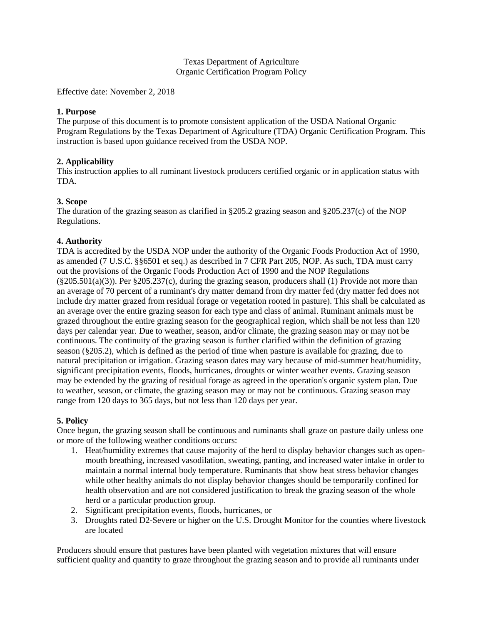#### Texas Department of Agriculture Organic Certification Program Policy

Effective date: November 2, 2018

### **1. Purpose**

The purpose of this document is to promote consistent application of the USDA National Organic Program Regulations by the Texas Department of Agriculture (TDA) Organic Certification Program. This instruction is based upon guidance received from the USDA NOP.

# **2. Applicability**

This instruction applies to all ruminant livestock producers certified organic or in application status with TDA.

### **3. Scope**

The duration of the grazing season as clarified in §205.2 grazing season and §205.237(c) of the NOP Regulations.

### **4. Authority**

TDA is accredited by the USDA NOP under the authority of the Organic Foods Production Act of 1990, as amended (7 U.S.C. §§6501 et seq.) as described in 7 CFR Part 205, NOP. As such, TDA must carry out the provisions of the Organic Foods Production Act of 1990 and the NOP Regulations (§205.501(a)(3)). Per §205.237(c), during the grazing season, producers shall (1) Provide not more than an average of 70 percent of a ruminant's dry matter demand from dry matter fed (dry matter fed does not include dry matter grazed from residual forage or vegetation rooted in pasture). This shall be calculated as an average over the entire grazing season for each type and class of animal. Ruminant animals must be grazed throughout the entire grazing season for the geographical region, which shall be not less than 120 days per calendar year. Due to weather, season, and/or climate, the grazing season may or may not be continuous. The continuity of the grazing season is further clarified within the definition of grazing season (§205.2), which is defined as the period of time when pasture is available for grazing, due to natural precipitation or irrigation. Grazing season dates may vary because of mid-summer heat/humidity, significant precipitation events, floods, hurricanes, droughts or winter weather events. Grazing season may be extended by the grazing of residual forage as agreed in the operation's organic system plan. Due to weather, season, or climate, the grazing season may or may not be continuous. Grazing season may range from 120 days to 365 days, but not less than 120 days per year.

# **5. Policy**

Once begun, the grazing season shall be continuous and ruminants shall graze on pasture daily unless one or more of the following weather conditions occurs:

- 1. Heat/humidity extremes that cause majority of the herd to display behavior changes such as openmouth breathing, increased vasodilation, sweating, panting, and increased water intake in order to maintain a normal internal body temperature. Ruminants that show heat stress behavior changes while other healthy animals do not display behavior changes should be temporarily confined for health observation and are not considered justification to break the grazing season of the whole herd or a particular production group.
- 2. Significant precipitation events, floods, hurricanes, or
- 3. Droughts rated D2-Severe or higher on the U.S. Drought Monitor for the counties where livestock are located

Producers should ensure that pastures have been planted with vegetation mixtures that will ensure sufficient quality and quantity to graze throughout the grazing season and to provide all ruminants under